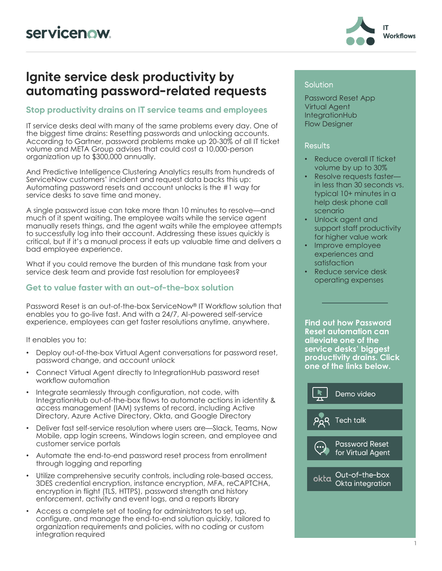

### Ignite service desk productivity by automating password-related requests

### Stop productivity drains on IT service teams and employees

IT service desks deal with many of the same problems every day. One of the biggest time drains: Resetting passwords and unlocking accounts. According to Gartner, password problems make up 20-30% of all IT ticket volume and META Group advises that could cost a 10,000-person organization up to \$300,000 annually.

And Predictive Intelligence Clustering Analytics results from hundreds of ServiceNow customers' incident and request data backs this up: Automating password resets and account unlocks is the #1 way for service desks to save time and money.

A single password issue can take more than 10 minutes to resolve—and much of it spent waiting. The employee waits while the service agent manually resets things, and the agent waits while the employee attempts to successfully log into their account. Addressing these issues quickly is critical, but if it's a manual process it eats up valuable time and delivers a bad employee experience.

What if you could remove the burden of this mundane task from your service desk team and provide fast resolution for employees?

### Get to value faster with an out-of-the-box solution

Password Reset is an out-of-the-box ServiceNow® IT Workflow solution that enables you to go-live fast. And with a 24/7, AI-powered self-service experience, employees can get faster resolutions anytime, anywhere.

It enables you to:

- Deploy out-of-the-box Virtual Agent conversations for password reset, password change, and account unlock
- Connect Virtual Agent directly to IntegrationHub password reset workflow automation
- Integrate seamlessly through configuration, not code, with IntegrationHub out-of-the-box flows to automate actions in identity & access management (IAM) systems of record, including Active Directory, Azure Active Directory, Okta, and Google Directory
- Deliver fast self-service resolution where users are—Slack, Teams, Now Mobile, app login screens, Windows login screen, and employee and customer service portals
- Automate the end-to-end password reset process from enrollment through logging and reporting
- Utilize comprehensive security controls, including role-based access, 3DES credential encryption, instance encryption, MFA, reCAPTCHA, encryption in flight (TLS, HTTPS), password strength and history enforcement, activity and event logs, and a reports library
- Access a complete set of tooling for administrators to set up, configure, and manage the end-to-end solution quickly, tailored to organization requirements and policies, with no coding or custom integration required

#### **Solution**

Password Reset App Virtual Agent IntegrationHub Flow Designer

#### **Results**

- Reduce overall IT ticket volume by up to 30%
- Resolve requests faster in less than 30 seconds vs. typical 10+ minutes in a help desk phone call scenario
- Unlock agent and support staff productivity for higher value work
- Improve employee experiences and satisfaction
- Reduce service desk operating expenses

**Find out how Password Reset automation can alleviate one of the service desks' biggest productivity drains. Click one of the links below.**

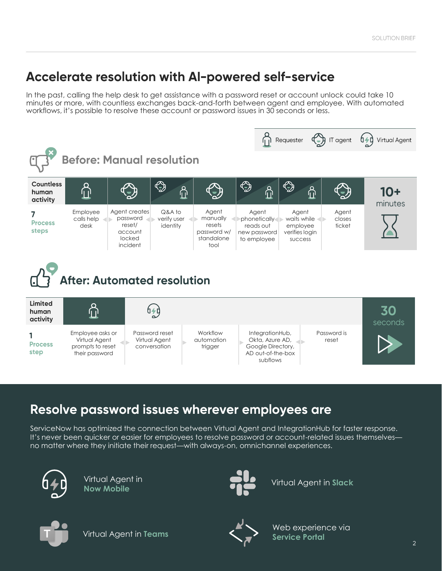# Accelerate resolution with AI-powered self-service

In the past, calling the help desk to get assistance with a password reset or account unlock could take 10 minutes or more, with countless exchanges back-and-forth between agent and employee. With automated workflows, it's possible to resolve these account or password issues in 30 seconds or less.







# Resolve password issues wherever employees are

ServiceNow has optimized the connection between Virtual Agent and IntegrationHub for faster response. It's never been quicker or easier for employees to resolve password or account-related issues themselves no matter where they initiate their request—with always-on, omnichannel experiences.



Virtual Agent in **Now Mobile**



Virtual Agent in **Slack**



Virtual Agent in **Teams**



Web experience via **Service Portal**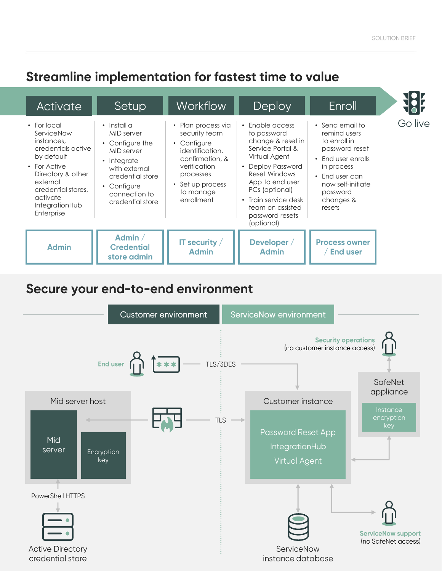# Streamline implementation for fastest time to value

| <b>Activate</b>                                                                                                                                                                                | Setup                                                                                                                                                                    | <b>Workflow</b>                                                                                                                                                                 | Deploy                                                                                                                                                                                                                                                                   | Enroll                                                                                                                                                                          |
|------------------------------------------------------------------------------------------------------------------------------------------------------------------------------------------------|--------------------------------------------------------------------------------------------------------------------------------------------------------------------------|---------------------------------------------------------------------------------------------------------------------------------------------------------------------------------|--------------------------------------------------------------------------------------------------------------------------------------------------------------------------------------------------------------------------------------------------------------------------|---------------------------------------------------------------------------------------------------------------------------------------------------------------------------------|
| • For local<br>ServiceNow<br>instances.<br>credentials active<br>by default<br>• For Active<br>Directory & other<br>external<br>credential stores.<br>activate<br>IntegrationHub<br>Enterprise | $\cdot$ Install a<br>MID server<br>• Configure the<br>MID server<br>• Integrate<br>with external<br>credential store<br>• Configure<br>connection to<br>credential store | Plan process via<br>$\bullet$<br>security team<br>• Configure<br>identification,<br>confirmation, &<br>verification<br>processes<br>• Set up process<br>to manage<br>enrollment | $\cdot$ Enable access<br>to password<br>change & reset in<br>Service Portal &<br>Virtual Agent<br><b>Deploy Password</b><br>$\bullet$<br>Reset Windows<br>App to end user<br>PCs (optional)<br>• Train service desk<br>team on assisted<br>password resets<br>(optional) | • Send email to<br>remind users<br>to enroll in<br>password reset<br>• End user enrolls<br>in process<br>• End user can<br>now self-initiate<br>password<br>changes &<br>resets |
| <b>Admin</b>                                                                                                                                                                                   | Admin $/$<br><b>Credential</b><br>store admin                                                                                                                            | IT security $/$<br><b>Admin</b>                                                                                                                                                 | Developer /<br><b>Admin</b>                                                                                                                                                                                                                                              | <b>Process owner</b><br><b>End user</b>                                                                                                                                         |

# Secure your end-to-end environment